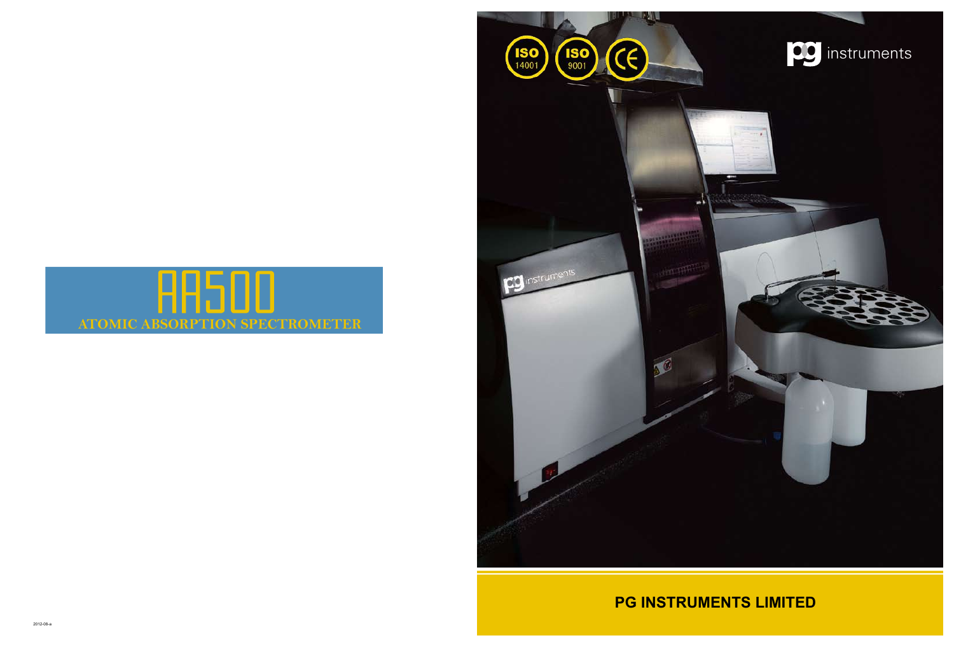



# **PG INSTRUMENTS LIMITED**



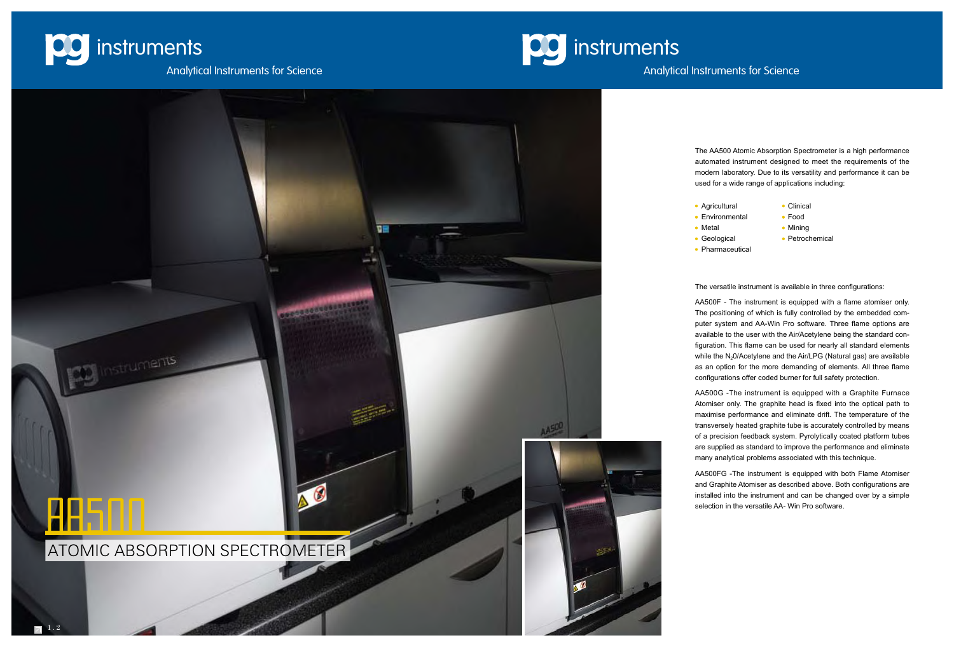

# **DC** instruments



- 
- Environmental Food
- 
- 
- 

# Analytical Instruments for Science

The AA500 Atomic Absorption Spectrometer is a high performance automated instrument designed to meet the requirements of the modern laboratory. Due to its versatility and performance it can be used for a wide range of applications including:

- 
- Agricultural Clinical
	-
- Metal **Mining**
- Geological Petrochemical
- Pharmaceutical

The versatile instrument is available in three configurations:

AA500F - The instrument is equipped with a flame atomiser only. The positioning of which is fully controlled by the embedded computer system and AA-Win Pro software. Three flame options are available to the user with the Air/Acetylene being the standard configuration. This flame can be used for nearly all standard elements while the  $N_2$ 0/Acetylene and the Air/LPG (Natural gas) are available as an option for the more demanding of elements. All three flame configurations offer coded burner for full safety protection. AA500G -The instrument is equipped with a Graphite Furnace

Atomiser only. The graphite head is fixed into the optical path to maximise performance and eliminate drift. The temperature of the transversely heated graphite tube is accurately controlled by means of a precision feedback system. Pyrolytically coated platform tubes are supplied as standard to improve the performance and eliminate many analytical problems associated with this technique.

AA500FG -The instrument is equipped with both Flame Atomiser and Graphite Atomiser as described above. Both configurations are installed into the instrument and can be changed over by a simple selection in the versatile AA- Win Pro software.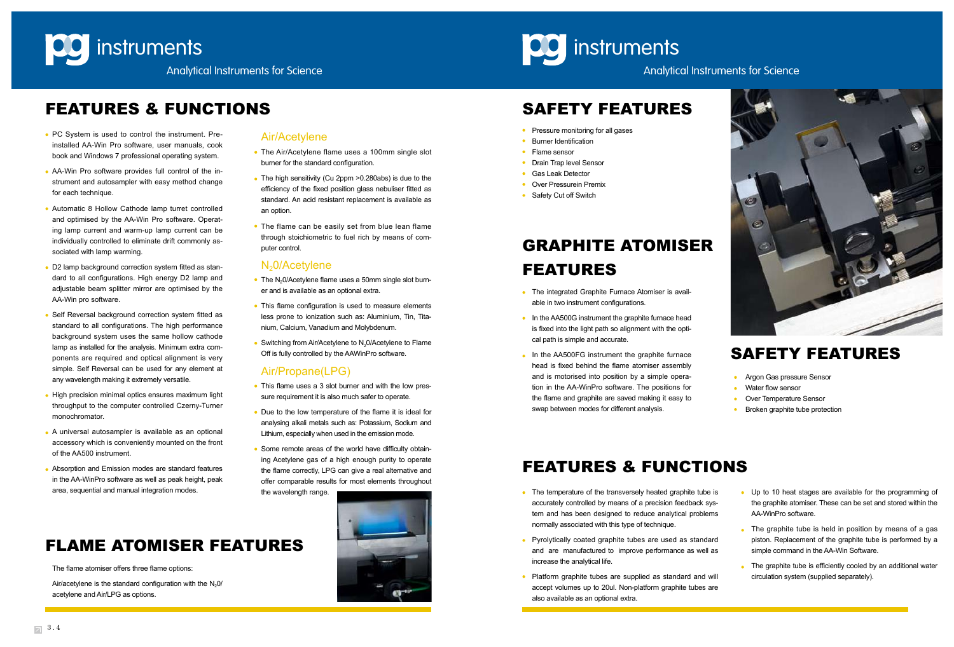



# FEATURES & FUNCTIONS SAFETY FEATURES

- PC System is used to control the instrument. Preinstalled AA-Win Pro software, user manuals, cook book and Windows 7 professional operating system.
- AA-Win Pro software provides full control of the instrument and autosampler with easy method change for each technique.
- Automatic 8 Hollow Cathode lamp turret controlled and optimised by the AA-Win Pro software. Operating lamp current and warm-up lamp current can be individually controlled to eliminate drift commonly associated with lamp warming.
- D2 lamp background correction system fitted as standard to all configurations. High energy D2 lamp and adjustable beam splitter mirror are optimised by the AA-Win pro software.
- Self Reversal background correction system fitted as standard to all configurations. The high performance background system uses the same hollow cathode lamp as installed for the analysis. Minimum extra components are required and optical alignment is very simple. Self Reversal can be used for any element at any wavelength making it extremely versatile.
- High precision minimal optics ensures maximum light throughput to the computer controlled Czerny-Turner monochromator.
- A universal autosampler is available as an optional accessory which is conveniently mounted on the front of the AA500 instrument.
- Absorption and Emission modes are standard features in the AA-WinPro software as well as peak height, peak area, sequential and manual integration modes.

- The Air/Acetylene flame uses a 100mm single slot burner for the standard configuration.
- The high sensitivity (Cu 2ppm > 0.280abs) is due to the efficiency of the fixed position glass nebuliser fitted as standard. An acid resistant replacement is available as an option.
- The flame can be easily set from blue lean flame through stoichiometric to fuel rich by means of computer control.

# N<sub>2</sub>0/Acetylene

- The N<sub>2</sub>0/Acetylene flame uses a 50mm single slot burner and is available as an optional extra.
- This flame configuration is used to measure elements less prone to ionization such as: Aluminium, Tin, Titanium, Calcium, Vanadium and Molybdenum.
- Switching from Air/Acetylene to N<sub>2</sub>0/Acetylene to Flame Off is fully controlled by the AAWinPro software.

- This flame uses a 3 slot burner and with the low pressure requirement it is also much safer to operate.
- Due to the low temperature of the flame it is ideal for analysing alkali metals such as: Potassium, Sodium and Lithium, especially when used in the emission mode.
- Some remote areas of the world have difficulty obtaining Acetylene gas of a high enough purity to operate the flame correctly, LPG can give a real alternative and offer comparable results for most elements throughout the wavelength range.



- Air/Acetylene Pressure monitoring for all gases
	- Burner Identification
	- Flame sensor
	- **•** Drain Trap level Sensor
	- Gas Leak Detector
	- **Over Pressurein Premix**
	- Safety Cut off Switch

Air/acetylene is the standard configuration with the  $N_2$ 0/ acetylene and Air/LPG as options.



- **Argon Gas pressure Sensor**
- Water flow sensor
- Over Temperature Sensor
- Broken graphite tube protection

- The integrated Graphite Furnace Atomiser is available in two instrument configurations.
- In the AA500G instrument the graphite furnace head is fixed into the light path so alignment with the optical path is simple and accurate.
- In the AA500FG instrument the graphite furnace head is fixed behind the flame atomiser assembly and is motorised into position by a simple operation in the AA-WinPro software. The positions for the flame and graphite are saved making it easy to swap between modes for different analysis.

- The temperature of the transversely heated graphite tube is accurately controlled by means of a precision feedback system and has been designed to reduce analytical problems normally associated with this type of technique.
- Pyrolytically coated graphite tubes are used as standard and are manufactured to improve performance as well as increase the analytical life.
- Platform graphite tubes are supplied as standard and will accept volumes up to 20ul. Non-platform graphite tubes are also available as an optional extra.

# Air/Propane(LPG)

The flame atomiser offers three flame options:

# FEATURES & FUNCTIONS

# SAFETY FEATURES

# GRAPHITE ATOMISER FEATURES

# FLAME ATOMISER FEATURES

- Up to 10 heat stages are available for the programming of the graphite atomiser. These can be set and stored within the AA-WinPro software.
- The graphite tube is held in position by means of a gas piston. Replacement of the graphite tube is performed by a simple command in the AA-Win Software.
- The graphite tube is efficiently cooled by an additional water circulation system (supplied separately).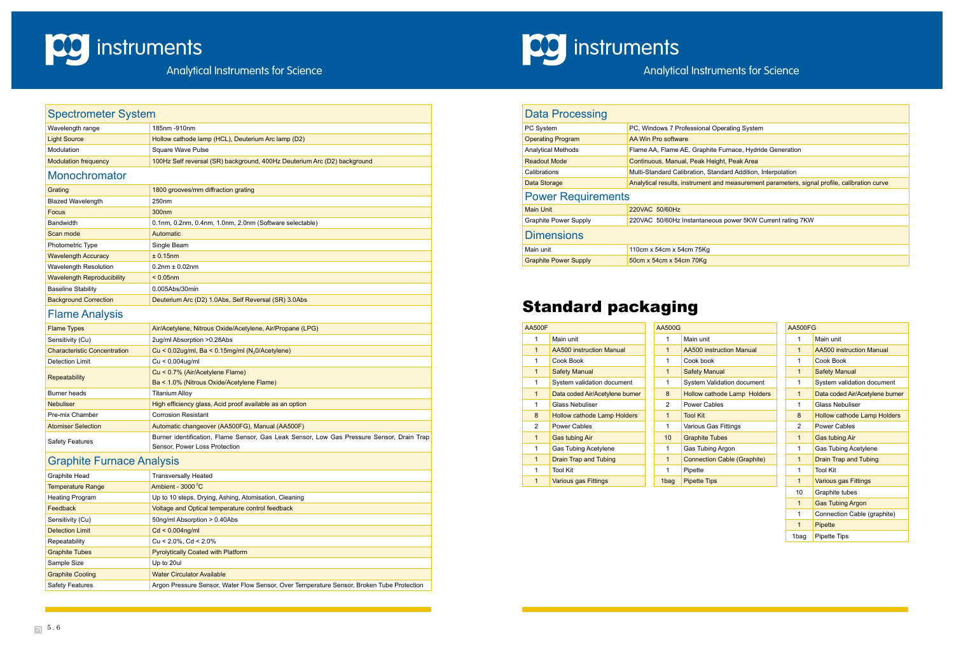

# Analytical Instruments for Science

rating System

urnace, Hydride Generation

t. Peak Area

ard Addition, Interpolation

measurement parameters, signal profile, calibration curve

power 5KW Current rating 7KW

# Spectrometer System Wavelength range 185nm -910nm Light Source Hollow cathode lamp (HCL), Deuterium Arc lamp (D2) Modulation **Notain Square Wave Pulse** Modulation frequency 100Hz Self reversal (SR) background, 400Hz Deuterium Arc (D2) background **Monochromator Grating 1800 grooves/mm diffraction grating** Blazed Wavelength 250nm Focus 300nm Bandwidth **Dana and Albert 2.1** 0.1nm, 0.2nm, 0.4nm, 1.0nm, 2.0nm (Software selectable) Scan mode Automatic Automatic Photometric Type **Single Beam** Wavelength Accuracy **Example 1** + 0.15nm Wavelength Resolution  $0.2$ nm  $\pm 0.02$ nm Wavelength Reproducibility < 0.05nm Baseline Stability **DESA** 0.005Abs/30min Background Correction **Deuterium Arc (D2) 1.0Abs, Self Reversal (SR) 3.0Abs** Flame Analysis

| <b>Flame Types</b>                  | Air/Acetylene, Nitrous Oxide/Acetylene, Air/Propane (LPG)                                 |
|-------------------------------------|-------------------------------------------------------------------------------------------|
| Sensitivity (Cu)                    | 2ug/ml Absorption > 0.28Abs                                                               |
| <b>Characteristic Concentration</b> | Cu < $0.02$ ug/ml, Ba < $0.15$ mg/ml (N <sub>2</sub> 0/Acetylene)                         |
| Detection Limit                     | $Cu < 0.004$ ug/ml                                                                        |
| Repeatability                       | Cu < 0.7% (Air/Acetylene Flame)                                                           |
|                                     | Ba < 1.0% (Nitrous Oxide/Acetylene Flame)                                                 |
| Burner heads                        | <b>Titanium Alloy</b>                                                                     |
| <b>Nebuliser</b>                    | High efficiency glass, Acid proof available as an option                                  |
| Pre-mix Chamber                     | <b>Corrosion Resistant</b>                                                                |
| <b>Atomiser Selection</b>           | Automatic changeover (AA500FG), Manual (AA500F)                                           |
| <b>Safety Features</b>              | Burner identification, Flame Sensor, Gas Leak Sensor, Low Gas Pressure Sensor, Drain Trap |
|                                     | Sensor, Power Loss Protection                                                             |

# Graphite Furnace Analysis

| Data Processing              |                                    |
|------------------------------|------------------------------------|
| PC System                    | PC, Windows 7 Professional Oper    |
| <b>Operating Program</b>     | AA Win Pro software                |
| <b>Analytical Methods</b>    | Flame AA, Flame AE, Graphite Fu    |
| <b>Readout Mode</b>          | Continuous, Manual, Peak Height    |
| Calibrations                 | Multi-Standard Calibration, Standa |
| Data Storage                 | Analytical results, instrument and |
| <b>Power Requirements</b>    |                                    |
| <b>Main Unit</b>             | 220VAC 50/60Hz                     |
| <b>Graphite Power Supply</b> | 220VAC 50/60Hz Instantaneous       |
| <b>Dimensions</b>            |                                    |
| Main unit                    | 110cm x 54cm x 54cm 75Kg           |

**CO** instruments

| <b>Graphite Head</b>     | <b>Transversally Heated</b>                                                               |
|--------------------------|-------------------------------------------------------------------------------------------|
| <b>Temperature Range</b> | Ambient - 3000 °C                                                                         |
| <b>Heating Program</b>   | Up to 10 steps. Drying, Ashing, Atomisation, Cleaning                                     |
| Feedback                 | Voltage and Optical temperature control feedback                                          |
| Sensitivity (Cu)         | 50ng/ml Absorption > 0.40Abs                                                              |
| <b>Detection Limit</b>   | $Cd < 0.004$ ng/ml                                                                        |
| Repeatability            | $Cu < 2.0\%$ , $Cd < 2.0\%$                                                               |
| <b>Graphite Tubes</b>    | <b>Pyrolytically Coated with Platform</b>                                                 |
| Sample Size              | Up to 20ul                                                                                |
| <b>Graphite Cooling</b>  | <b>Water Circulator Available</b>                                                         |
| <b>Safety Features</b>   | Argon Pressure Sensor, Water Flow Sensor, Over Temperature Sensor, Broken Tube Protection |

# Standard packaging

Graphite Power Supply 50cm x 54cm x 54cm 70Kg

| <b>AA500FG</b> |                                    |
|----------------|------------------------------------|
| 1              | Main unit                          |
| 1              | AA500 instruction Manual           |
| 1              | Cook Book                          |
| 1              | <b>Safety Manual</b>               |
| 1              | System validation document         |
| 1              | Data coded Air/Acetylene burner    |
| 1              | Glass Nebuliser                    |
| 8              | <b>Hollow cathode Lamp Holders</b> |
| 2              | Power Cables                       |
| $\overline{1}$ | <b>Gas tubing Air</b>              |
| 1              | <b>Gas Tubing Acetylene</b>        |
| 1              | <b>Drain Trap and Tubing</b>       |
| 1              | <b>Tool Kit</b>                    |
| 1              | Various gas Fittings               |
| 10             | Graphite tubes                     |
| 1              | <b>Gas Tubing Argon</b>            |
| 1              | Connection Cable (graphite)        |
| 1              | Pipette                            |
| 1bag           | <b>Pipette Tips</b>                |

| <b>AA500F</b> |                                    | <b>AA500G</b>  |                                    |
|---------------|------------------------------------|----------------|------------------------------------|
| 1             | Main unit                          | 1              | Main unit                          |
| $\mathbf 1$   | <b>AA500 instruction Manual</b>    | $\mathbf{1}$   | <b>AA500 instruction Manual</b>    |
| 1             | Cook Book                          | 1              | Cook book                          |
| $\mathbf{1}$  | <b>Safety Manual</b>               | $\mathbf{1}$   | <b>Safety Manual</b>               |
| 1             | System validation document         | 1              | System Validation document         |
| $\mathbf{1}$  | Data coded Air/Acetylene burner    | 8              | Hollow cathode Lamp Holders        |
| 1             | <b>Glass Nebuliser</b>             | $\mathfrak{p}$ | Power Cables                       |
| 8             | <b>Hollow cathode Lamp Holders</b> | $\mathbf{1}$   | <b>Tool Kit</b>                    |
| $\mathcal{P}$ | Power Cables                       | 1              | Various Gas Fittings               |
| $\mathbf{1}$  | <b>Gas tubing Air</b>              | 10             | <b>Graphite Tubes</b>              |
| 1             | <b>Gas Tubing Acetylene</b>        | 1              | Gas Tubing Argon                   |
| $\mathbf{1}$  | <b>Drain Trap and Tubing</b>       | $\mathbf{1}$   | <b>Connection Cable (Graphite)</b> |
| 1             | <b>Tool Kit</b>                    | 1              | Pipette                            |
| $\mathbf{1}$  | <b>Various gas Fittings</b>        | 1bag           | <b>Pipette Tips</b>                |
|               |                                    |                |                                    |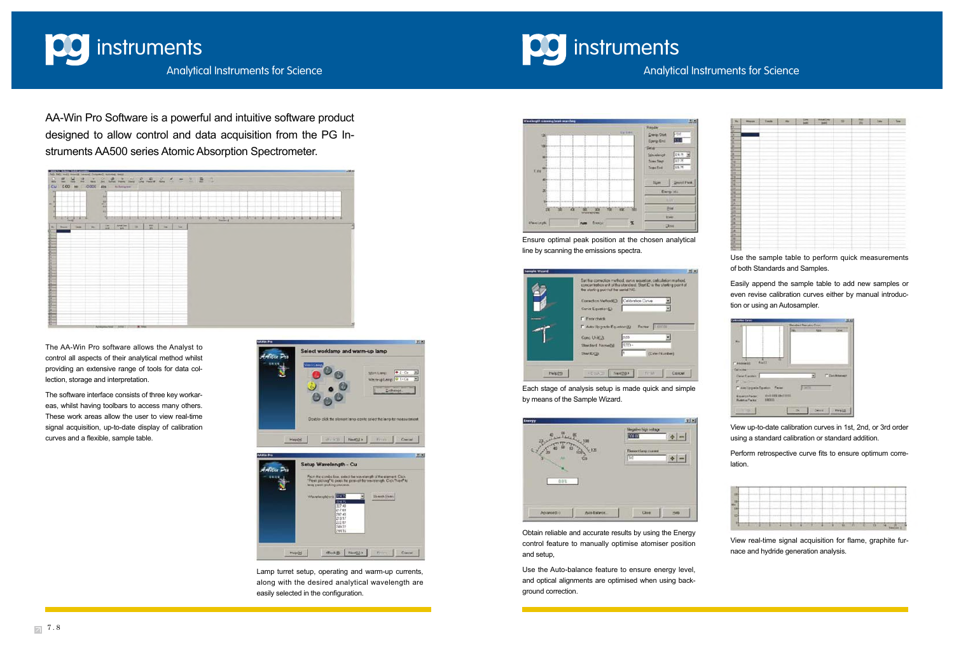

**instruments** 

# Analytical Instruments for Science

| $\frac{1}{\sqrt{2}}$ , $\frac{1}{\sqrt{2}}$ , $\frac{1}{\sqrt{2}}$ , $\frac{1}{\sqrt{2}}$ , $\frac{1}{\sqrt{2}}$ , $\frac{1}{\sqrt{2}}$ , $\frac{1}{\sqrt{2}}$ , $\frac{1}{\sqrt{2}}$ , $\frac{1}{\sqrt{2}}$ , $\frac{1}{\sqrt{2}}$ , $\frac{1}{\sqrt{2}}$ , $\frac{1}{\sqrt{2}}$ , $\frac{1}{\sqrt{2}}$ , $\frac{1}{\sqrt{2}}$ , $\frac{1}{\sqrt{2}}$<br>We. | <b>Measure</b> | <b>Twelv</b> | $\overline{a}$ | 鼺 | <b>Artalien</b><br>Tant | m | 접 | <b>Day</b> | Tom |
|---------------------------------------------------------------------------------------------------------------------------------------------------------------------------------------------------------------------------------------------------------------------------------------------------------------------------------------------------------------|----------------|--------------|----------------|---|-------------------------|---|---|------------|-----|
|                                                                                                                                                                                                                                                                                                                                                               |                |              |                |   |                         |   |   |            |     |
|                                                                                                                                                                                                                                                                                                                                                               |                |              |                |   |                         |   |   |            |     |
|                                                                                                                                                                                                                                                                                                                                                               |                |              |                |   |                         |   |   |            |     |
|                                                                                                                                                                                                                                                                                                                                                               |                |              |                |   |                         |   |   |            |     |
|                                                                                                                                                                                                                                                                                                                                                               |                |              |                |   |                         |   |   |            |     |
|                                                                                                                                                                                                                                                                                                                                                               |                |              |                |   |                         |   |   |            |     |
|                                                                                                                                                                                                                                                                                                                                                               |                |              |                |   |                         |   |   |            |     |
|                                                                                                                                                                                                                                                                                                                                                               |                |              |                |   |                         |   |   |            |     |
|                                                                                                                                                                                                                                                                                                                                                               |                |              |                |   |                         |   |   |            |     |
|                                                                                                                                                                                                                                                                                                                                                               |                |              |                |   |                         |   |   |            |     |
|                                                                                                                                                                                                                                                                                                                                                               |                |              |                |   |                         |   |   |            |     |
|                                                                                                                                                                                                                                                                                                                                                               |                |              |                |   |                         |   |   |            |     |
|                                                                                                                                                                                                                                                                                                                                                               |                |              |                |   |                         |   |   |            |     |
|                                                                                                                                                                                                                                                                                                                                                               |                |              |                |   |                         |   |   |            |     |
|                                                                                                                                                                                                                                                                                                                                                               |                |              |                |   |                         |   |   |            |     |
|                                                                                                                                                                                                                                                                                                                                                               |                |              |                |   |                         |   |   |            |     |
|                                                                                                                                                                                                                                                                                                                                                               |                |              |                |   |                         |   |   |            |     |
|                                                                                                                                                                                                                                                                                                                                                               |                |              |                |   |                         |   |   |            |     |
|                                                                                                                                                                                                                                                                                                                                                               |                |              |                |   |                         |   |   |            |     |
|                                                                                                                                                                                                                                                                                                                                                               |                |              |                |   |                         |   |   |            |     |
|                                                                                                                                                                                                                                                                                                                                                               |                |              |                |   |                         |   |   |            |     |
|                                                                                                                                                                                                                                                                                                                                                               |                |              |                |   |                         |   |   |            |     |
|                                                                                                                                                                                                                                                                                                                                                               |                |              |                |   |                         |   |   |            |     |
|                                                                                                                                                                                                                                                                                                                                                               |                |              |                |   |                         |   |   |            |     |
|                                                                                                                                                                                                                                                                                                                                                               |                |              |                |   |                         |   |   |            |     |
|                                                                                                                                                                                                                                                                                                                                                               |                |              |                |   |                         |   |   |            |     |
|                                                                                                                                                                                                                                                                                                                                                               |                |              |                |   |                         |   |   |            |     |
|                                                                                                                                                                                                                                                                                                                                                               |                |              |                |   |                         |   |   |            |     |
|                                                                                                                                                                                                                                                                                                                                                               |                |              |                |   |                         |   |   |            |     |
|                                                                                                                                                                                                                                                                                                                                                               |                |              |                |   |                         |   |   |            |     |
|                                                                                                                                                                                                                                                                                                                                                               |                |              |                |   |                         |   |   |            |     |
|                                                                                                                                                                                                                                                                                                                                                               |                |              |                |   |                         |   |   |            |     |

AA-Win Pro Software is a powerful and intuitive software product designed to allow control and data acquisition from the PG Instruments AA500 series Atomic Absorption Spectrometer.



The AA-Win Pro software allows the Analyst to control all aspects of their analytical method whilst providing an extensive range of tools for data collection, storage and interpretation.

The software interface consists of three key workareas, whilst having toolbars to access many others. These work areas allow the user to view real-time signal acquisition, up-to-date display of calibration curves and a flexible, sample table.



Lamp turret setup, operating and warm-up currents, along with the desired analytical wavelength are easily selected in the configuration.



Ensure optimal peak position at the chosen analytical line by scanning the emissions spectra.

| Sat the conection method, curve equation, calculation method.<br>concurringtion unit of the standard. Start ID is the starting point of<br>the starting point of the senial NC. |  |
|---------------------------------------------------------------------------------------------------------------------------------------------------------------------------------|--|
| Correction Metrodic). Calibration Curve<br>Curve Equator(E)                                                                                                                     |  |
| <b>F</b> Engripped<br>Factor E.00031<br>Auto Upgrade Equation(A)                                                                                                                |  |
| non<br>Cunci Unit(U)<br>RTD-<br>Stendard Nemetre                                                                                                                                |  |
| h<br>Star DGI<br>(Enter Number)                                                                                                                                                 |  |

Each stage of analysis setup is made quick and simple by means of the Sample Wizard.

|          | Negative high voltage:<br><b>YOO</b> |
|----------|--------------------------------------|
| 120<br>m | <b>Finertianpower</b><br><b>Fic</b>  |
| 001      |                                      |
|          |                                      |

Obtain reliable and accurate results by using the Energy control feature to manually optimise atomiser position and setup,

Use the Auto-balance feature to ensure energy level, and optical alignments are optimised when using background correction.

Use the sample table to perform quick measurements of both Standards and Samples.

Easily append the sample table to add new samples or even revise calibration curves either by manual introduction or using an Autosampler.



View up-to-date calibration curves in 1st, 2nd, or 3rd order using a standard calibration or standard addition.

Perform retrospective curve fits to ensure optimum correlation.

| <b>Service</b> | the company of the company of the company of the |  |                                                    |  |  |  |  |  |
|----------------|--------------------------------------------------|--|----------------------------------------------------|--|--|--|--|--|
|                |                                                  |  |                                                    |  |  |  |  |  |
|                |                                                  |  |                                                    |  |  |  |  |  |
|                |                                                  |  |                                                    |  |  |  |  |  |
|                | ___                                              |  | the transport of the country of the country of the |  |  |  |  |  |

View real-time signal acquisition for flame, graphite furnace and hydride generation analysis.